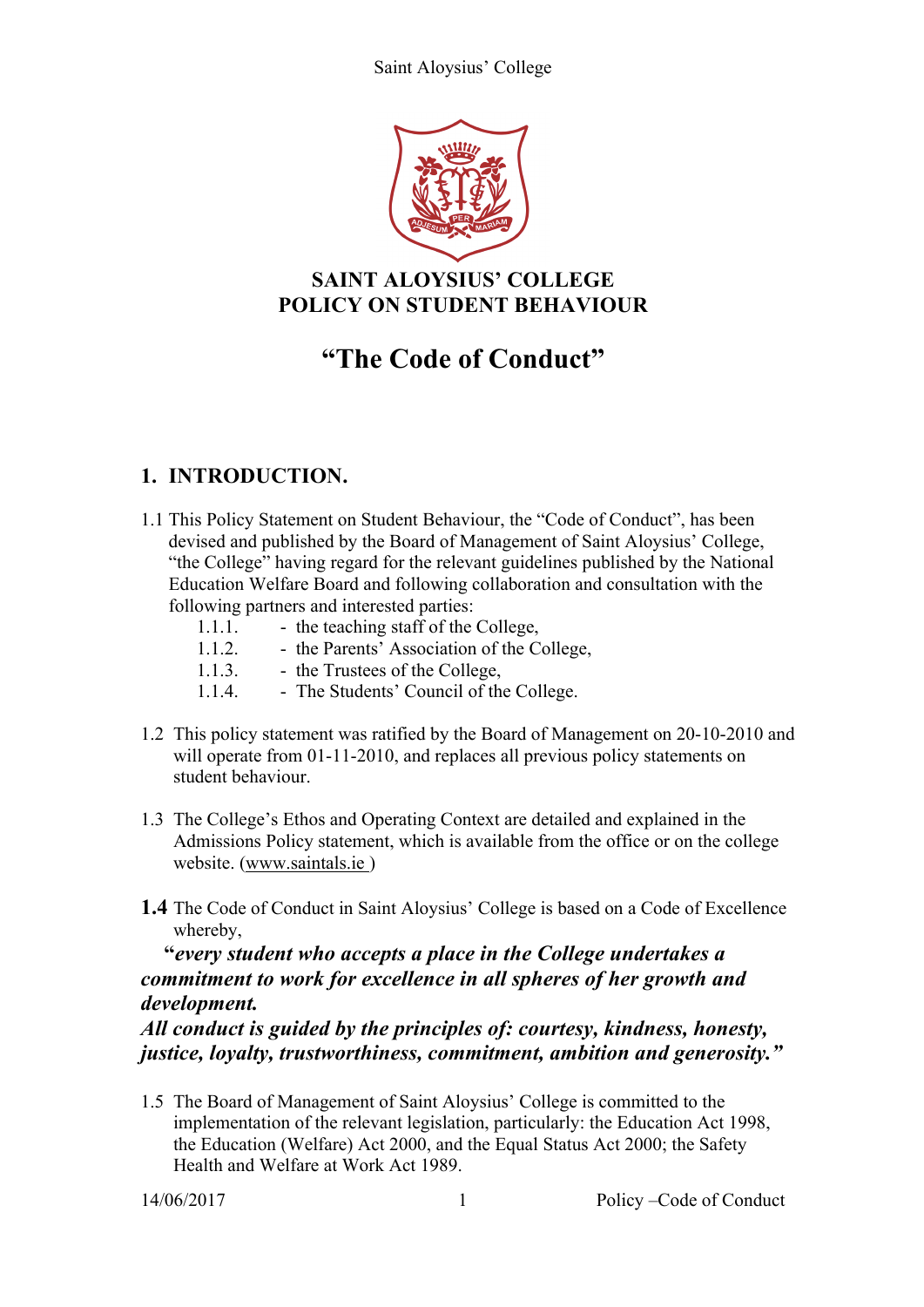

# **SAINT ALOYSIUS' COLLEGE POLICY ON STUDENT BEHAVIOUR**

# **"The Code of Conduct"**

# **1. INTRODUCTION.**

- 1.1 This Policy Statement on Student Behaviour, the "Code of Conduct", has been devised and published by the Board of Management of Saint Aloysius' College, "the College" having regard for the relevant guidelines published by the National Education Welfare Board and following collaboration and consultation with the following partners and interested parties:
	- 1.1.1. the teaching staff of the College, 1.1.2. - the Parents' Association of the College,<br>1.1.3. - the Trustees of the College, - the Trustees of the College,
	- 1.1.4. The Students' Council of the College.
- 1.2 This policy statement was ratified by the Board of Management on 20-10-2010 and will operate from 01-11-2010, and replaces all previous policy statements on student behaviour.
- 1.3 The College's Ethos and Operating Context are detailed and explained in the Admissions Policy statement, which is available from the office or on the college website. (www.saintals.ie )
- **1.4** The Code of Conduct in Saint Aloysius' College is based on a Code of Excellence whereby,

#### **"***every student who accepts a place in the College undertakes a commitment to work for excellence in all spheres of her growth and development.*

*All conduct is guided by the principles of: courtesy, kindness, honesty, justice, loyalty, trustworthiness, commitment, ambition and generosity."*

1.5 The Board of Management of Saint Aloysius' College is committed to the implementation of the relevant legislation, particularly: the Education Act 1998, the Education (Welfare) Act 2000, and the Equal Status Act 2000; the Safety Health and Welfare at Work Act 1989.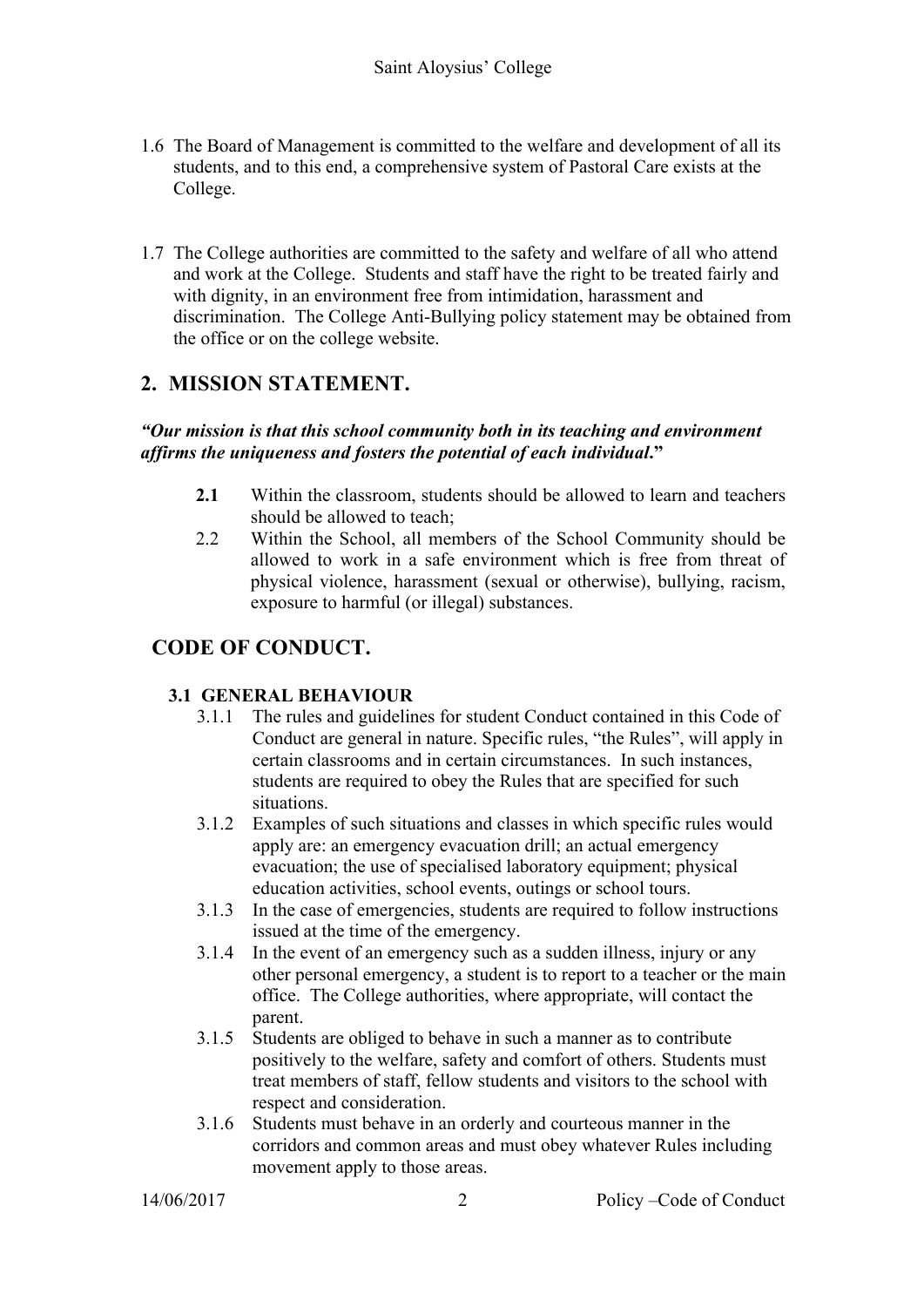- 1.6 The Board of Management is committed to the welfare and development of all its students, and to this end, a comprehensive system of Pastoral Care exists at the College.
- 1.7 The College authorities are committed to the safety and welfare of all who attend and work at the College. Students and staff have the right to be treated fairly and with dignity, in an environment free from intimidation, harassment and discrimination. The College Anti-Bullying policy statement may be obtained from the office or on the college website.

# **2. MISSION STATEMENT.**

#### *"Our mission is that this school community both in its teaching and environment affirms the uniqueness and fosters the potential of each individual***."**

- **2.1** Within the classroom, students should be allowed to learn and teachers should be allowed to teach;
- 2.2 Within the School, all members of the School Community should be allowed to work in a safe environment which is free from threat of physical violence, harassment (sexual or otherwise), bullying, racism, exposure to harmful (or illegal) substances.

# **CODE OF CONDUCT.**

#### **3.1 GENERAL BEHAVIOUR**

- 3.1.1 The rules and guidelines for student Conduct contained in this Code of Conduct are general in nature. Specific rules, "the Rules", will apply in certain classrooms and in certain circumstances. In such instances, students are required to obey the Rules that are specified for such situations.
- 3.1.2 Examples of such situations and classes in which specific rules would apply are: an emergency evacuation drill; an actual emergency evacuation; the use of specialised laboratory equipment; physical education activities, school events, outings or school tours.
- 3.1.3 In the case of emergencies, students are required to follow instructions issued at the time of the emergency.
- 3.1.4 In the event of an emergency such as a sudden illness, injury or any other personal emergency, a student is to report to a teacher or the main office. The College authorities, where appropriate, will contact the parent.
- 3.1.5 Students are obliged to behave in such a manner as to contribute positively to the welfare, safety and comfort of others. Students must treat members of staff, fellow students and visitors to the school with respect and consideration.
- 3.1.6 Students must behave in an orderly and courteous manner in the corridors and common areas and must obey whatever Rules including movement apply to those areas.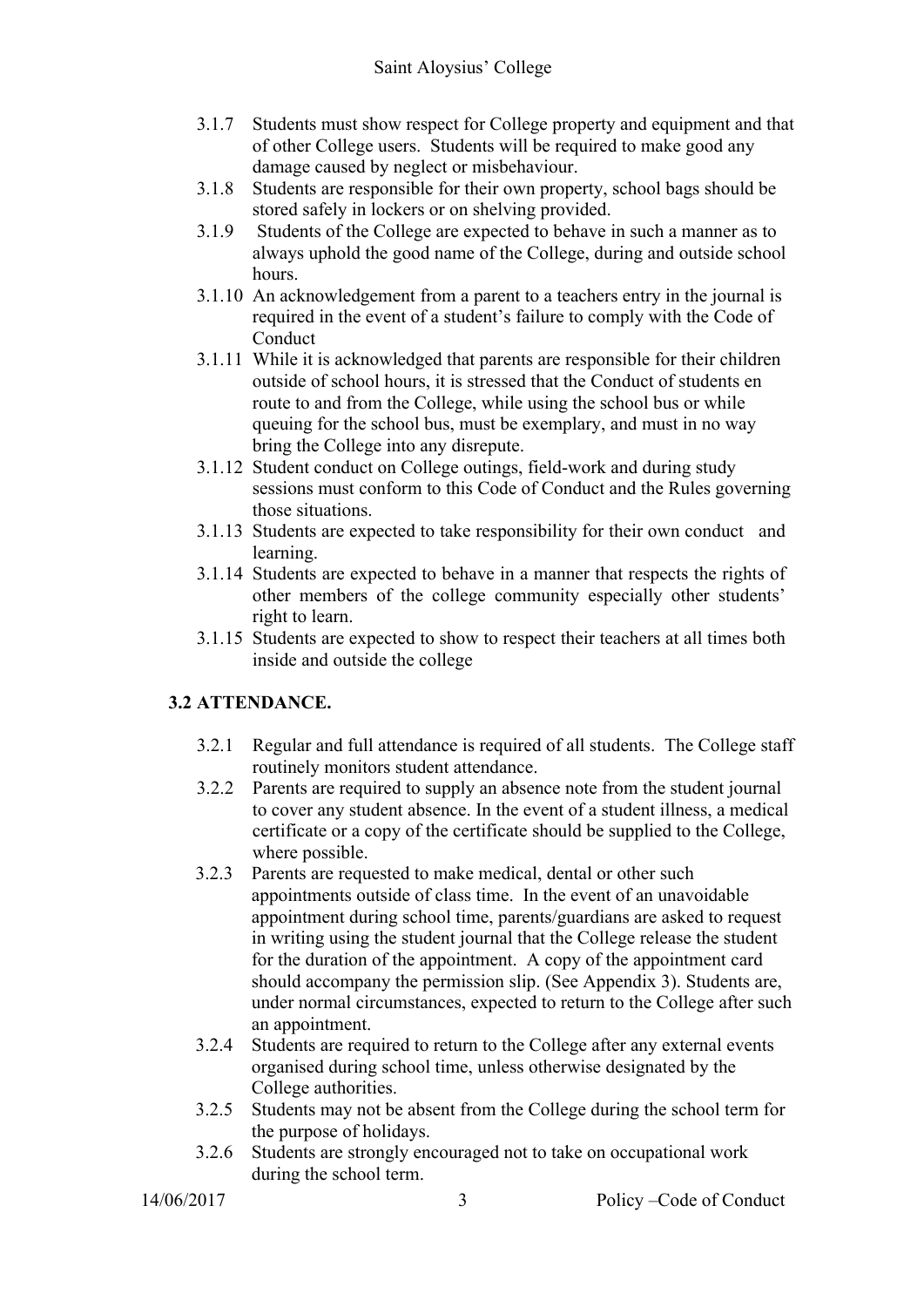- 3.1.7 Students must show respect for College property and equipment and that of other College users. Students will be required to make good any damage caused by neglect or misbehaviour.
- 3.1.8 Students are responsible for their own property, school bags should be stored safely in lockers or on shelving provided.
- 3.1.9 Students of the College are expected to behave in such a manner as to always uphold the good name of the College, during and outside school hours.
- 3.1.10 An acknowledgement from a parent to a teachers entry in the journal is required in the event of a student's failure to comply with the Code of **Conduct**
- 3.1.11 While it is acknowledged that parents are responsible for their children outside of school hours, it is stressed that the Conduct of students en route to and from the College, while using the school bus or while queuing for the school bus, must be exemplary, and must in no way bring the College into any disrepute.
- 3.1.12 Student conduct on College outings, field-work and during study sessions must conform to this Code of Conduct and the Rules governing those situations.
- 3.1.13 Students are expected to take responsibility for their own conduct and learning.
- 3.1.14 Students are expected to behave in a manner that respects the rights of other members of the college community especially other students' right to learn.
- 3.1.15 Students are expected to show to respect their teachers at all times both inside and outside the college

#### **3.2 ATTENDANCE.**

- 3.2.1 Regular and full attendance is required of all students. The College staff routinely monitors student attendance.
- 3.2.2 Parents are required to supply an absence note from the student journal to cover any student absence. In the event of a student illness, a medical certificate or a copy of the certificate should be supplied to the College, where possible.
- 3.2.3 Parents are requested to make medical, dental or other such appointments outside of class time. In the event of an unavoidable appointment during school time, parents/guardians are asked to request in writing using the student journal that the College release the student for the duration of the appointment. A copy of the appointment card should accompany the permission slip. (See Appendix 3). Students are, under normal circumstances, expected to return to the College after such an appointment.
- 3.2.4 Students are required to return to the College after any external events organised during school time, unless otherwise designated by the College authorities.
- 3.2.5 Students may not be absent from the College during the school term for the purpose of holidays.
- 3.2.6 Students are strongly encouraged not to take on occupational work during the school term.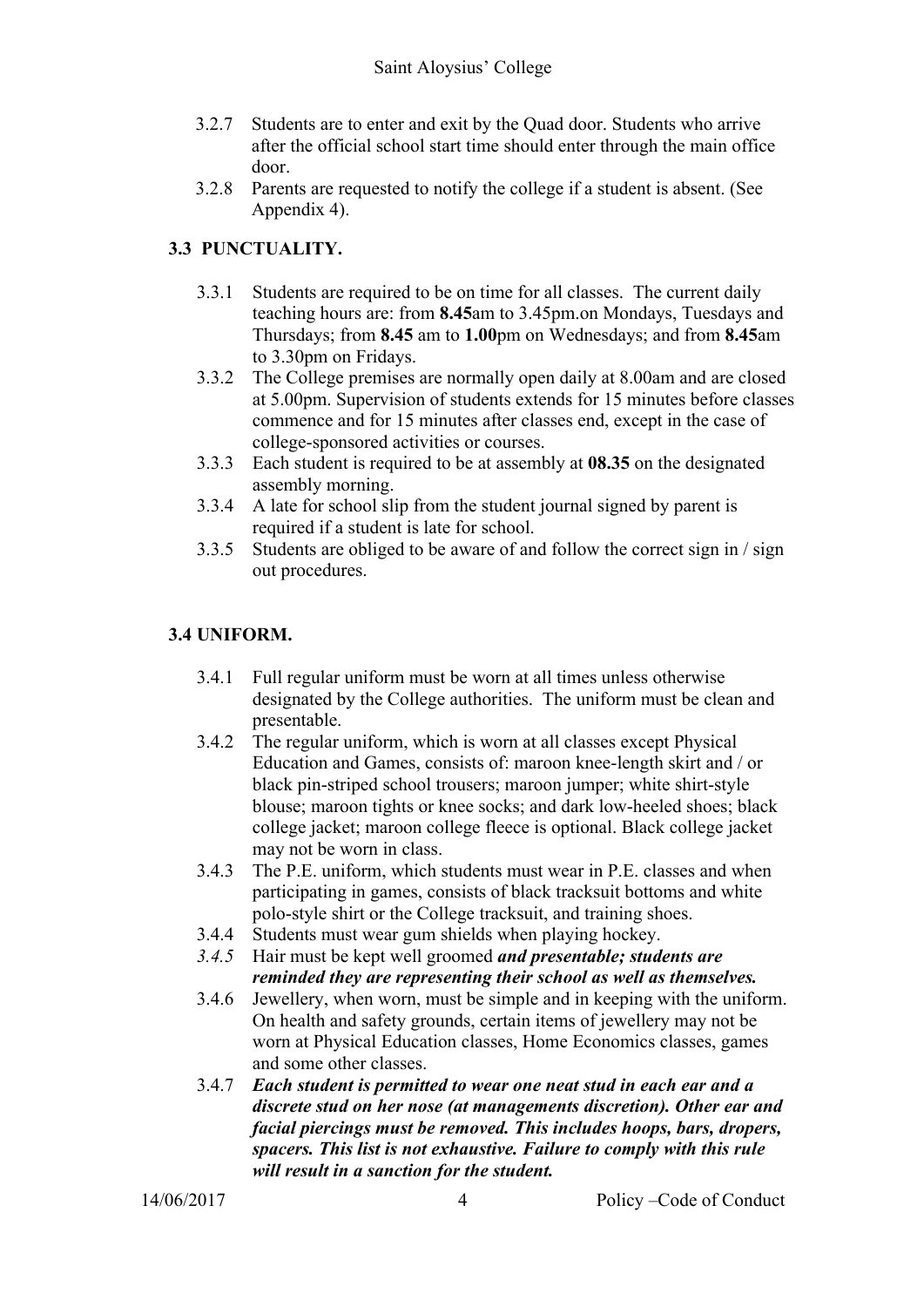- 3.2.7 Students are to enter and exit by the Quad door. Students who arrive after the official school start time should enter through the main office door.
- 3.2.8 Parents are requested to notify the college if a student is absent. (See Appendix 4).

#### **3.3 PUNCTUALITY.**

- 3.3.1 Students are required to be on time for all classes. The current daily teaching hours are: from **8.45**am to 3.45pm.on Mondays, Tuesdays and Thursdays; from **8.45** am to **1.00**pm on Wednesdays; and from **8.45**am to 3.30pm on Fridays.
- 3.3.2 The College premises are normally open daily at 8.00am and are closed at 5.00pm. Supervision of students extends for 15 minutes before classes commence and for 15 minutes after classes end, except in the case of college-sponsored activities or courses.
- 3.3.3 Each student is required to be at assembly at **08.35** on the designated assembly morning.
- 3.3.4 A late for school slip from the student journal signed by parent is required if a student is late for school.
- 3.3.5 Students are obliged to be aware of and follow the correct sign in / sign out procedures.

#### **3.4 UNIFORM.**

- 3.4.1 Full regular uniform must be worn at all times unless otherwise designated by the College authorities. The uniform must be clean and presentable.
- 3.4.2 The regular uniform, which is worn at all classes except Physical Education and Games, consists of: maroon knee-length skirt and / or black pin-striped school trousers; maroon jumper; white shirt-style blouse; maroon tights or knee socks; and dark low-heeled shoes; black college jacket; maroon college fleece is optional. Black college jacket may not be worn in class.
- 3.4.3 The P.E. uniform, which students must wear in P.E. classes and when participating in games, consists of black tracksuit bottoms and white polo-style shirt or the College tracksuit, and training shoes.
- 3.4.4 Students must wear gum shields when playing hockey.
- *3.4.5* Hair must be kept well groomed *and presentable; students are reminded they are representing their school as well as themselves.*
- 3.4.6 Jewellery, when worn, must be simple and in keeping with the uniform. On health and safety grounds, certain items of jewellery may not be worn at Physical Education classes, Home Economics classes, games and some other classes.
- 3.4.7 *Each student is permitted to wear one neat stud in each ear and a discrete stud on her nose (at managements discretion). Other ear and facial piercings must be removed. This includes hoops, bars, dropers, spacers. This list is not exhaustive. Failure to comply with this rule will result in a sanction for the student.*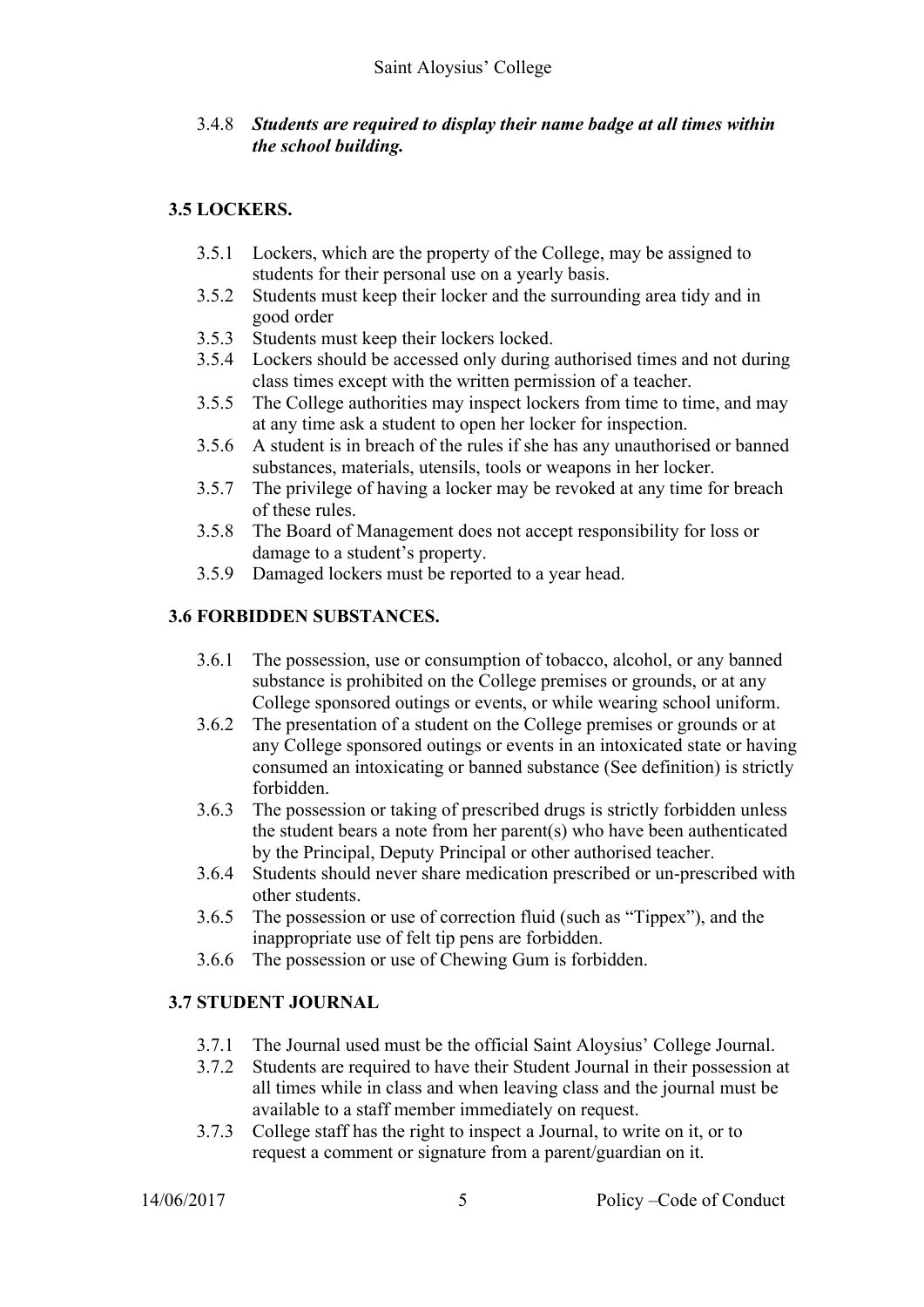#### 3.4.8 *Students are required to display their name badge at all times within the school building.*

#### **3.5 LOCKERS.**

- 3.5.1 Lockers, which are the property of the College, may be assigned to students for their personal use on a yearly basis.
- 3.5.2 Students must keep their locker and the surrounding area tidy and in good order
- 3.5.3 Students must keep their lockers locked.
- 3.5.4 Lockers should be accessed only during authorised times and not during class times except with the written permission of a teacher.
- 3.5.5 The College authorities may inspect lockers from time to time, and may at any time ask a student to open her locker for inspection.
- 3.5.6 A student is in breach of the rules if she has any unauthorised or banned substances, materials, utensils, tools or weapons in her locker.
- 3.5.7 The privilege of having a locker may be revoked at any time for breach of these rules.
- 3.5.8 The Board of Management does not accept responsibility for loss or damage to a student's property.
- 3.5.9 Damaged lockers must be reported to a year head.

#### **3.6 FORBIDDEN SUBSTANCES.**

- 3.6.1 The possession, use or consumption of tobacco, alcohol, or any banned substance is prohibited on the College premises or grounds, or at any College sponsored outings or events, or while wearing school uniform.
- 3.6.2 The presentation of a student on the College premises or grounds or at any College sponsored outings or events in an intoxicated state or having consumed an intoxicating or banned substance (See definition) is strictly forbidden.
- 3.6.3 The possession or taking of prescribed drugs is strictly forbidden unless the student bears a note from her parent(s) who have been authenticated by the Principal, Deputy Principal or other authorised teacher.
- 3.6.4 Students should never share medication prescribed or un-prescribed with other students.
- 3.6.5 The possession or use of correction fluid (such as "Tippex"), and the inappropriate use of felt tip pens are forbidden.
- 3.6.6 The possession or use of Chewing Gum is forbidden.

#### **3.7 STUDENT JOURNAL**

- 3.7.1 The Journal used must be the official Saint Aloysius' College Journal.
- 3.7.2 Students are required to have their Student Journal in their possession at all times while in class and when leaving class and the journal must be available to a staff member immediately on request.
- 3.7.3 College staff has the right to inspect a Journal, to write on it, or to request a comment or signature from a parent/guardian on it.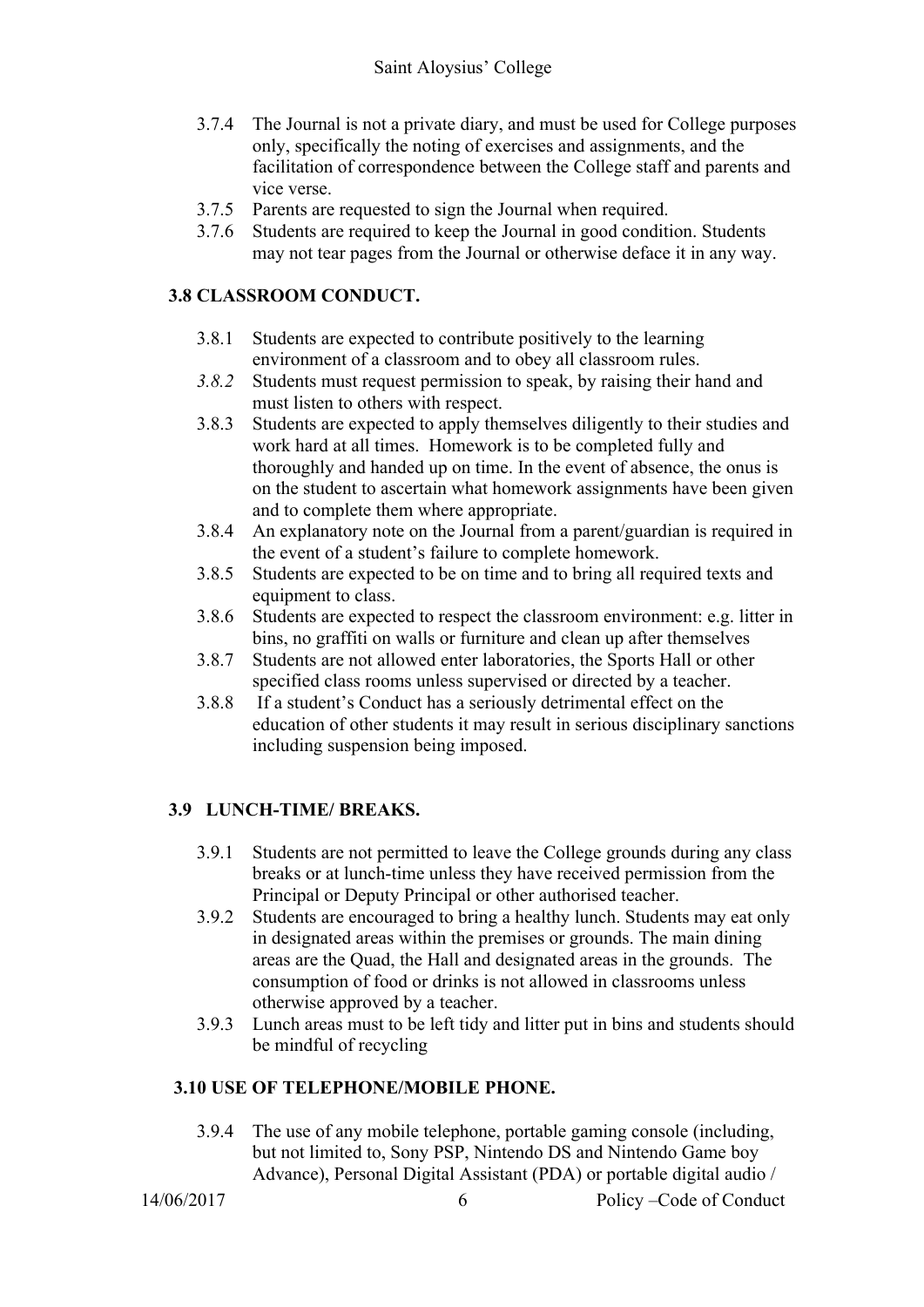- 3.7.4 The Journal is not a private diary, and must be used for College purposes only, specifically the noting of exercises and assignments, and the facilitation of correspondence between the College staff and parents and vice verse.
- 3.7.5 Parents are requested to sign the Journal when required.
- 3.7.6 Students are required to keep the Journal in good condition. Students may not tear pages from the Journal or otherwise deface it in any way.

#### **3.8 CLASSROOM CONDUCT.**

- 3.8.1 Students are expected to contribute positively to the learning environment of a classroom and to obey all classroom rules.
- *3.8.2* Students must request permission to speak, by raising their hand and must listen to others with respect.
- 3.8.3 Students are expected to apply themselves diligently to their studies and work hard at all times. Homework is to be completed fully and thoroughly and handed up on time. In the event of absence, the onus is on the student to ascertain what homework assignments have been given and to complete them where appropriate.
- 3.8.4 An explanatory note on the Journal from a parent/guardian is required in the event of a student's failure to complete homework.
- 3.8.5 Students are expected to be on time and to bring all required texts and equipment to class.
- 3.8.6 Students are expected to respect the classroom environment: e.g. litter in bins, no graffiti on walls or furniture and clean up after themselves
- 3.8.7 Students are not allowed enter laboratories, the Sports Hall or other specified class rooms unless supervised or directed by a teacher.
- 3.8.8 If a student's Conduct has a seriously detrimental effect on the education of other students it may result in serious disciplinary sanctions including suspension being imposed.

#### **3.9 LUNCH-TIME/ BREAKS.**

- 3.9.1 Students are not permitted to leave the College grounds during any class breaks or at lunch-time unless they have received permission from the Principal or Deputy Principal or other authorised teacher.
- 3.9.2 Students are encouraged to bring a healthy lunch. Students may eat only in designated areas within the premises or grounds. The main dining areas are the Quad, the Hall and designated areas in the grounds. The consumption of food or drinks is not allowed in classrooms unless otherwise approved by a teacher.
- 3.9.3 Lunch areas must to be left tidy and litter put in bins and students should be mindful of recycling

#### **3.10 USE OF TELEPHONE/MOBILE PHONE.**

3.9.4 The use of any mobile telephone, portable gaming console (including, but not limited to, Sony PSP, Nintendo DS and Nintendo Game boy Advance), Personal Digital Assistant (PDA) or portable digital audio /

14/06/2017 6 Policy – Code of Conduct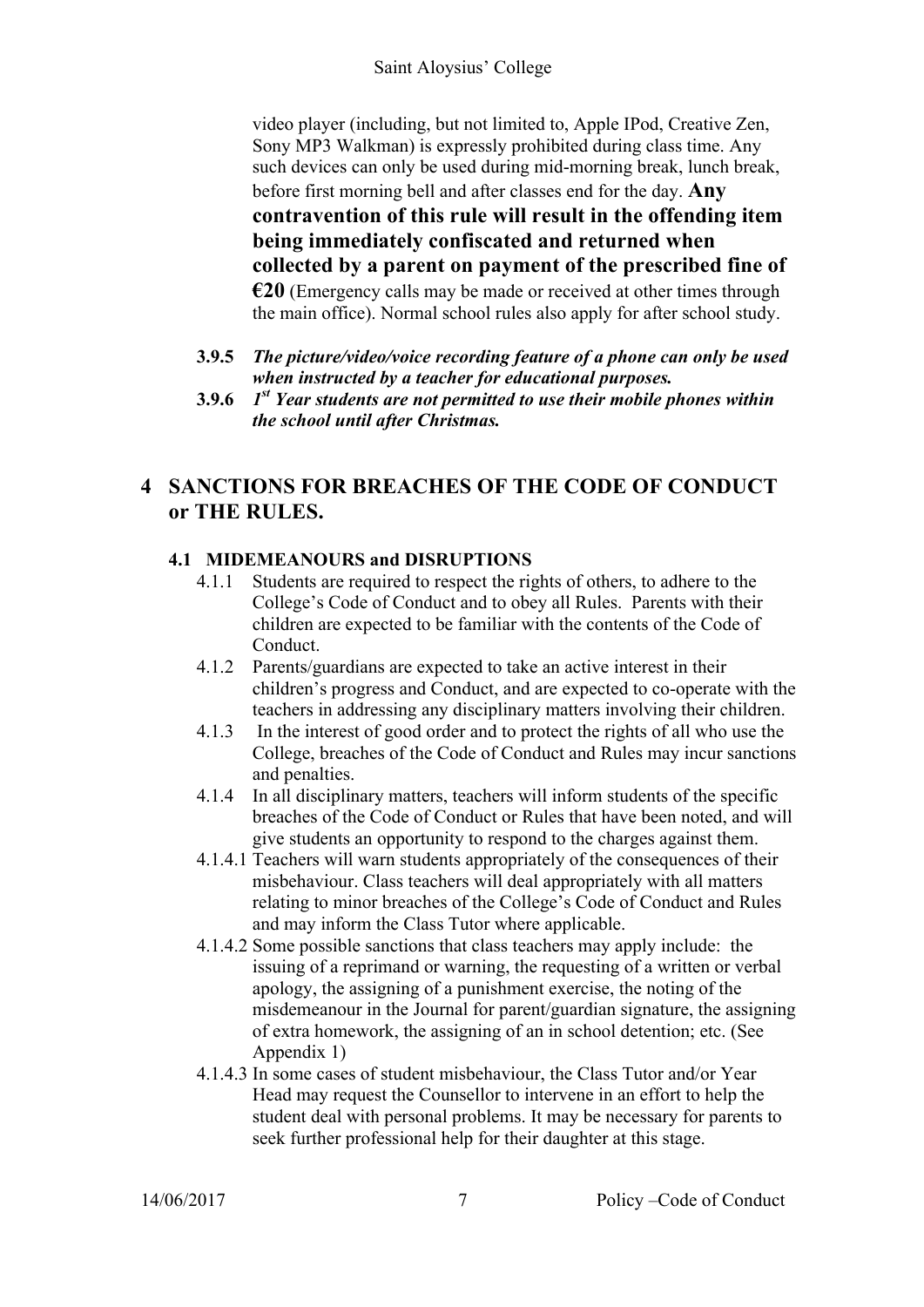video player (including, but not limited to, Apple IPod, Creative Zen, Sony MP3 Walkman) is expressly prohibited during class time. Any such devices can only be used during mid-morning break, lunch break, before first morning bell and after classes end for the day. **Any contravention of this rule will result in the offending item being immediately confiscated and returned when collected by a parent on payment of the prescribed fine of €20** (Emergency calls may be made or received at other times through the main office). Normal school rules also apply for after school study.

- **3.9.5** *The picture/video/voice recording feature of a phone can only be used when instructed by a teacher for educational purposes.*
- **3.9.6** *1st Year students are not permitted to use their mobile phones within the school until after Christmas.*

# **4 SANCTIONS FOR BREACHES OF THE CODE OF CONDUCT or THE RULES.**

#### **4.1 MIDEMEANOURS and DISRUPTIONS**

- 4.1.1 Students are required to respect the rights of others, to adhere to the College's Code of Conduct and to obey all Rules. Parents with their children are expected to be familiar with the contents of the Code of Conduct.
- 4.1.2 Parents/guardians are expected to take an active interest in their children's progress and Conduct, and are expected to co-operate with the teachers in addressing any disciplinary matters involving their children.
- 4.1.3 In the interest of good order and to protect the rights of all who use the College, breaches of the Code of Conduct and Rules may incur sanctions and penalties.
- 4.1.4 In all disciplinary matters, teachers will inform students of the specific breaches of the Code of Conduct or Rules that have been noted, and will give students an opportunity to respond to the charges against them.
- 4.1.4.1 Teachers will warn students appropriately of the consequences of their misbehaviour. Class teachers will deal appropriately with all matters relating to minor breaches of the College's Code of Conduct and Rules and may inform the Class Tutor where applicable.
- 4.1.4.2 Some possible sanctions that class teachers may apply include: the issuing of a reprimand or warning, the requesting of a written or verbal apology, the assigning of a punishment exercise, the noting of the misdemeanour in the Journal for parent/guardian signature, the assigning of extra homework, the assigning of an in school detention; etc. (See Appendix 1)
- 4.1.4.3 In some cases of student misbehaviour, the Class Tutor and/or Year Head may request the Counsellor to intervene in an effort to help the student deal with personal problems. It may be necessary for parents to seek further professional help for their daughter at this stage.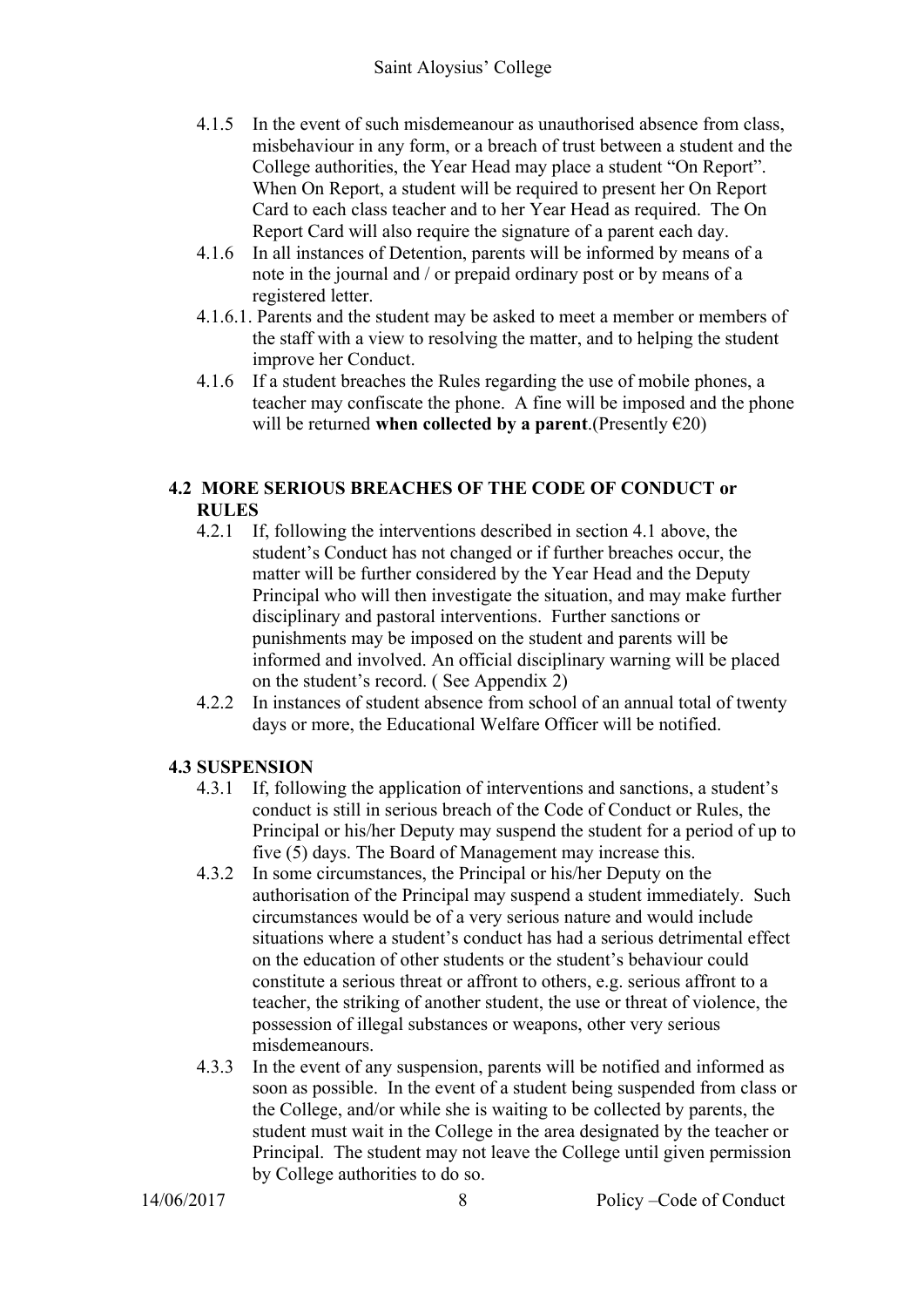- 4.1.5 In the event of such misdemeanour as unauthorised absence from class, misbehaviour in any form, or a breach of trust between a student and the College authorities, the Year Head may place a student "On Report". When On Report, a student will be required to present her On Report Card to each class teacher and to her Year Head as required. The On Report Card will also require the signature of a parent each day.
- 4.1.6 In all instances of Detention, parents will be informed by means of a note in the journal and / or prepaid ordinary post or by means of a registered letter.
- 4.1.6.1. Parents and the student may be asked to meet a member or members of the staff with a view to resolving the matter, and to helping the student improve her Conduct.
- 4.1.6 If a student breaches the Rules regarding the use of mobile phones, a teacher may confiscate the phone. A fine will be imposed and the phone will be returned **when collected by a parent**.(Presently  $\epsilon$ 20)

#### **4.2 MORE SERIOUS BREACHES OF THE CODE OF CONDUCT or RULES**

- 4.2.1 If, following the interventions described in section 4.1 above, the student's Conduct has not changed or if further breaches occur, the matter will be further considered by the Year Head and the Deputy Principal who will then investigate the situation, and may make further disciplinary and pastoral interventions. Further sanctions or punishments may be imposed on the student and parents will be informed and involved. An official disciplinary warning will be placed on the student's record. ( See Appendix 2)
- 4.2.2 In instances of student absence from school of an annual total of twenty days or more, the Educational Welfare Officer will be notified.

#### **4.3 SUSPENSION**

- 4.3.1 If, following the application of interventions and sanctions, a student's conduct is still in serious breach of the Code of Conduct or Rules, the Principal or his/her Deputy may suspend the student for a period of up to five (5) days. The Board of Management may increase this.
- 4.3.2 In some circumstances, the Principal or his/her Deputy on the authorisation of the Principal may suspend a student immediately. Such circumstances would be of a very serious nature and would include situations where a student's conduct has had a serious detrimental effect on the education of other students or the student's behaviour could constitute a serious threat or affront to others, e.g. serious affront to a teacher, the striking of another student, the use or threat of violence, the possession of illegal substances or weapons, other very serious misdemeanours.
- 4.3.3 In the event of any suspension, parents will be notified and informed as soon as possible. In the event of a student being suspended from class or the College, and/or while she is waiting to be collected by parents, the student must wait in the College in the area designated by the teacher or Principal. The student may not leave the College until given permission by College authorities to do so.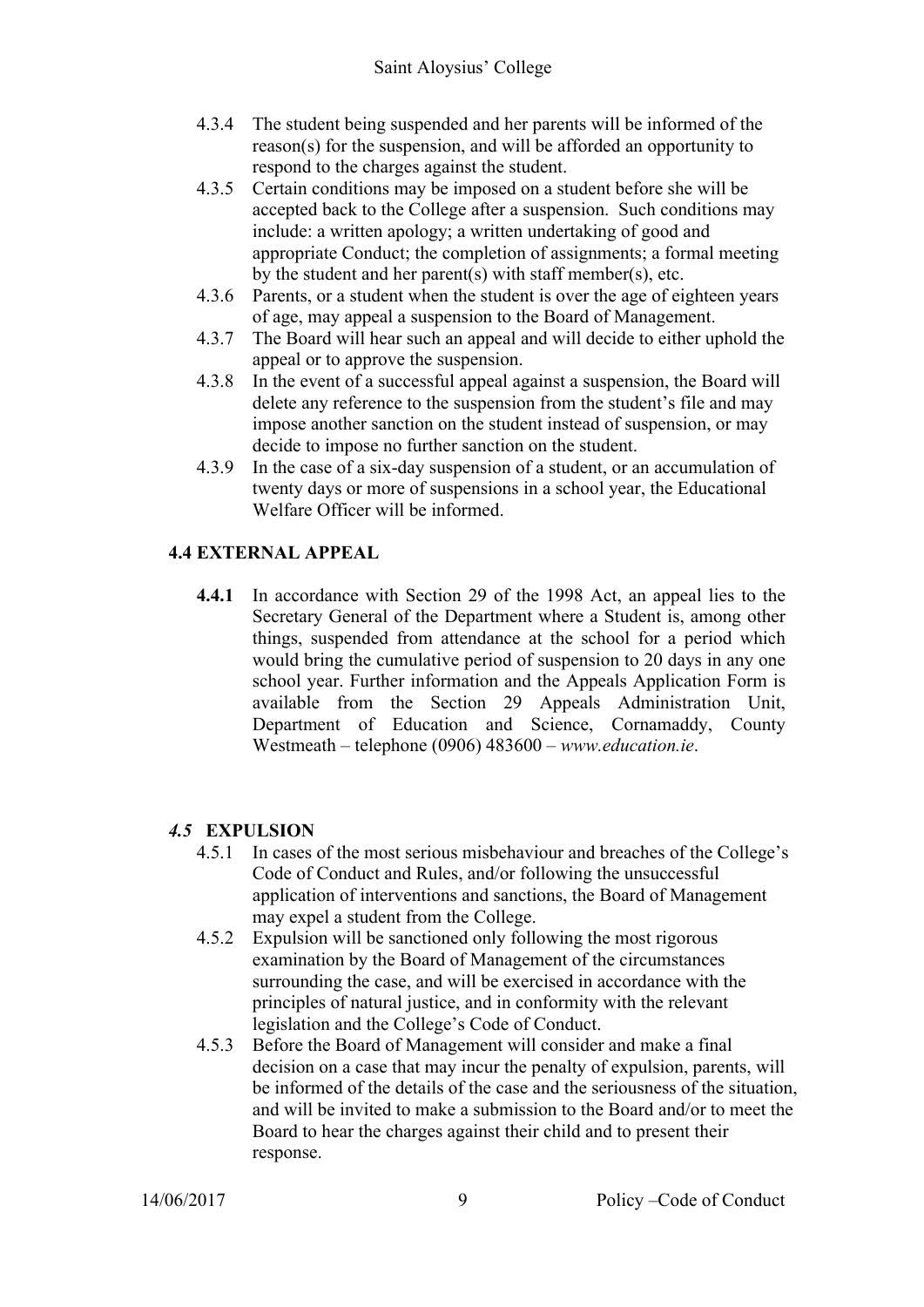- 4.3.4 The student being suspended and her parents will be informed of the reason(s) for the suspension, and will be afforded an opportunity to respond to the charges against the student.
- 4.3.5 Certain conditions may be imposed on a student before she will be accepted back to the College after a suspension. Such conditions may include: a written apology; a written undertaking of good and appropriate Conduct; the completion of assignments; a formal meeting by the student and her parent(s) with staff member(s), etc.
- 4.3.6 Parents, or a student when the student is over the age of eighteen years of age, may appeal a suspension to the Board of Management.
- 4.3.7 The Board will hear such an appeal and will decide to either uphold the appeal or to approve the suspension.
- 4.3.8 In the event of a successful appeal against a suspension, the Board will delete any reference to the suspension from the student's file and may impose another sanction on the student instead of suspension, or may decide to impose no further sanction on the student.
- 4.3.9 In the case of a six-day suspension of a student, or an accumulation of twenty days or more of suspensions in a school year, the Educational Welfare Officer will be informed.

#### **4.4 EXTERNAL APPEAL**

**4.4.1** In accordance with Section 29 of the 1998 Act, an appeal lies to the Secretary General of the Department where a Student is, among other things, suspended from attendance at the school for a period which would bring the cumulative period of suspension to 20 days in any one school year. Further information and the Appeals Application Form is available from the Section 29 Appeals Administration Unit, Department of Education and Science, Cornamaddy, County Westmeath – telephone (0906) 483600 – *www.education.ie*.

#### *4.5* **EXPULSION**

- 4.5.1 In cases of the most serious misbehaviour and breaches of the College's Code of Conduct and Rules, and/or following the unsuccessful application of interventions and sanctions, the Board of Management may expel a student from the College.
- 4.5.2 Expulsion will be sanctioned only following the most rigorous examination by the Board of Management of the circumstances surrounding the case, and will be exercised in accordance with the principles of natural justice, and in conformity with the relevant legislation and the College's Code of Conduct.
- 4.5.3 Before the Board of Management will consider and make a final decision on a case that may incur the penalty of expulsion, parents, will be informed of the details of the case and the seriousness of the situation, and will be invited to make a submission to the Board and/or to meet the Board to hear the charges against their child and to present their response.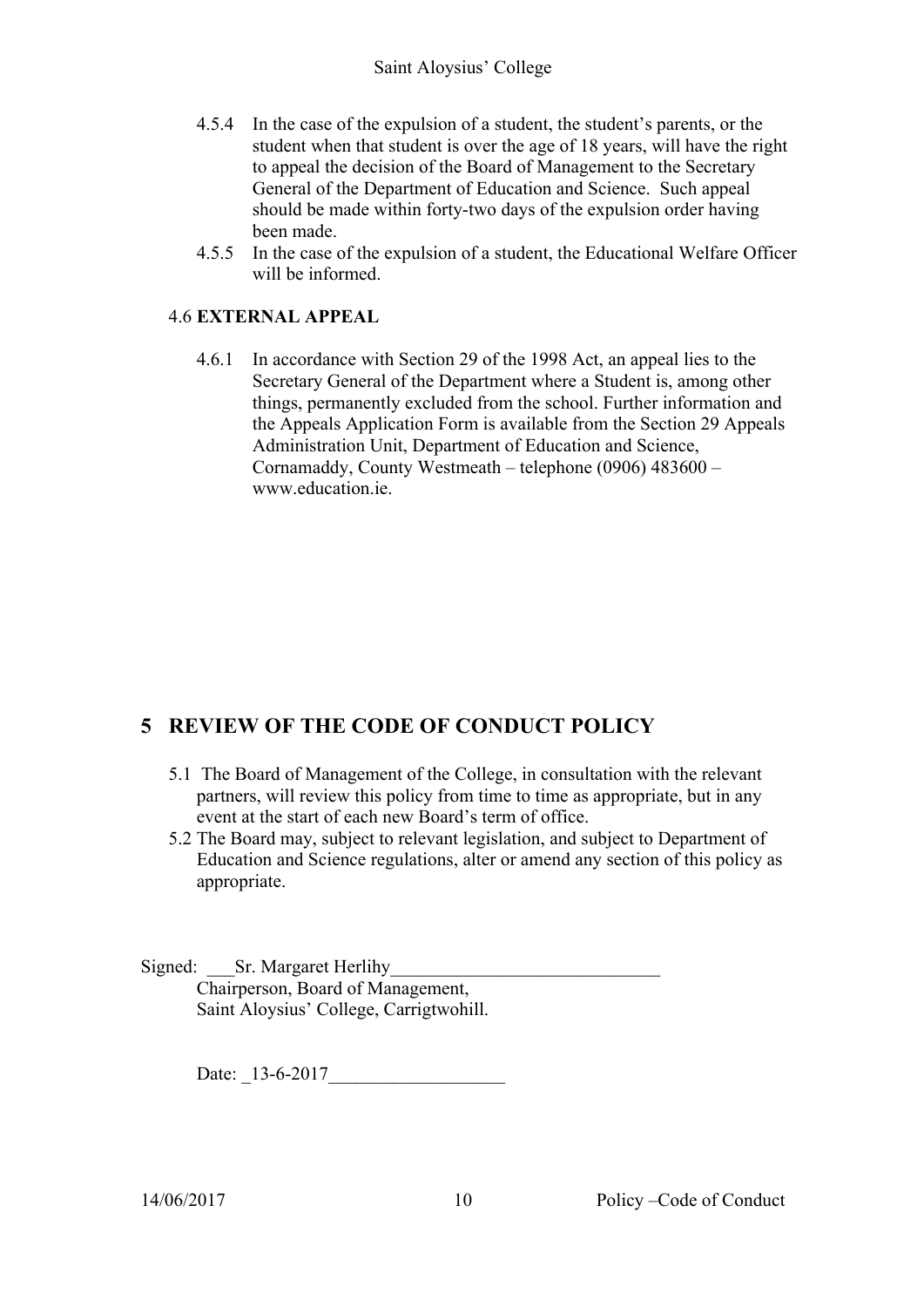- 4.5.4 In the case of the expulsion of a student, the student's parents, or the student when that student is over the age of 18 years, will have the right to appeal the decision of the Board of Management to the Secretary General of the Department of Education and Science. Such appeal should be made within forty-two days of the expulsion order having been made.
- 4.5.5 In the case of the expulsion of a student, the Educational Welfare Officer will be informed.

#### 4.6 **EXTERNAL APPEAL**

4.6.1 In accordance with Section 29 of the 1998 Act, an appeal lies to the Secretary General of the Department where a Student is, among other things, permanently excluded from the school. Further information and the Appeals Application Form is available from the Section 29 Appeals Administration Unit, Department of Education and Science, Cornamaddy, County Westmeath – telephone (0906) 483600 – www.education.ie

# **5 REVIEW OF THE CODE OF CONDUCT POLICY**

- 5.1 The Board of Management of the College, in consultation with the relevant partners, will review this policy from time to time as appropriate, but in any event at the start of each new Board's term of office.
- 5.2 The Board may, subject to relevant legislation, and subject to Department of Education and Science regulations, alter or amend any section of this policy as appropriate.
- Signed: Sr. Margaret Herlihy Chairperson, Board of Management, Saint Aloysius' College, Carrigtwohill.

Date: \_13-6-2017\_\_\_\_\_\_\_\_\_\_\_\_\_\_\_\_\_\_\_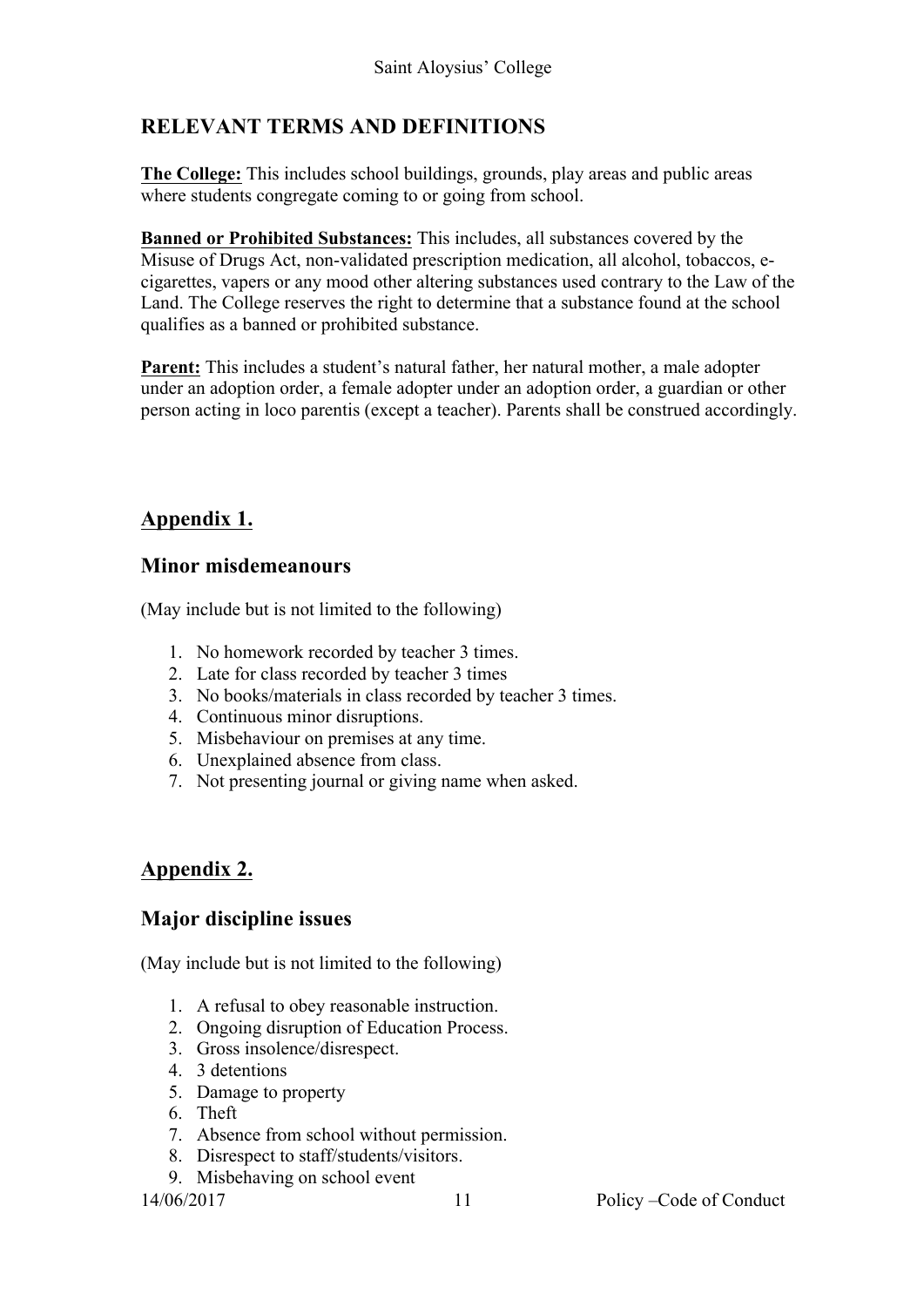# **RELEVANT TERMS AND DEFINITIONS**

**The College:** This includes school buildings, grounds, play areas and public areas where students congregate coming to or going from school.

**Banned or Prohibited Substances:** This includes, all substances covered by the Misuse of Drugs Act, non-validated prescription medication, all alcohol, tobaccos, ecigarettes, vapers or any mood other altering substances used contrary to the Law of the Land. The College reserves the right to determine that a substance found at the school qualifies as a banned or prohibited substance.

**Parent:** This includes a student's natural father, her natural mother, a male adopter under an adoption order, a female adopter under an adoption order, a guardian or other person acting in loco parentis (except a teacher). Parents shall be construed accordingly.

# **Appendix 1.**

#### **Minor misdemeanours**

(May include but is not limited to the following)

- 1. No homework recorded by teacher 3 times.
- 2. Late for class recorded by teacher 3 times
- 3. No books/materials in class recorded by teacher 3 times.
- 4. Continuous minor disruptions.
- 5. Misbehaviour on premises at any time.
- 6. Unexplained absence from class.
- 7. Not presenting journal or giving name when asked.

# **Appendix 2.**

#### **Major discipline issues**

(May include but is not limited to the following)

- 1. A refusal to obey reasonable instruction.
- 2. Ongoing disruption of Education Process.
- 3. Gross insolence/disrespect.
- 4. 3 detentions
- 5. Damage to property
- 6. Theft
- 7. Absence from school without permission.
- 8. Disrespect to staff/students/visitors.
- 9. Misbehaving on school event